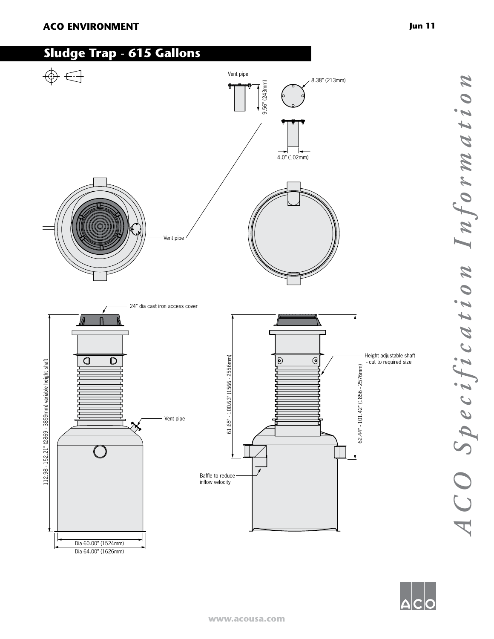### **ACO ENVIRONMENT** Jun 11

# **Sludge Trap - 615 Gallons**